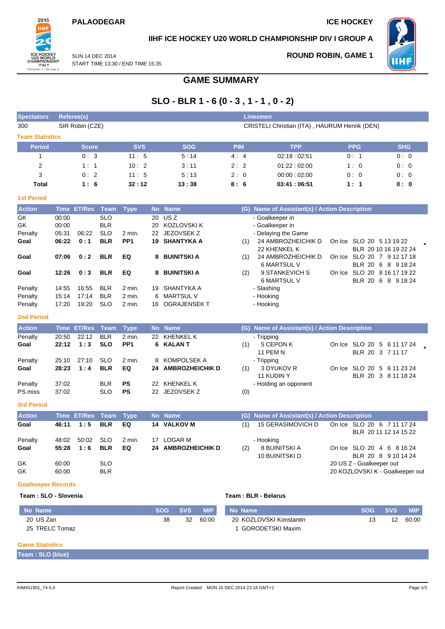#### **PALAODEGAR ICE HOCKEY**



#### **IIHF ICE HOCKEY U20 WORLD CHAMPIONSHIP DIV I GROUP A**

SUN 14 DEC 2014 START TIME 13:30 / END TIME 15:35

### **ROUND ROBIN, GAME 1**



**SLO - BLR 1 - 6 (0 - 3 , 1 - 1 , 0 - 2)**

**GAME SUMMARY**

| <b>Spectators</b>         | <b>Referee(s)</b> |               |                   |                 |           |                                        |  |                                               |     | <b>Linesmen</b>                                                       |  |                                                                           |            |            |  |  |
|---------------------------|-------------------|---------------|-------------------|-----------------|-----------|----------------------------------------|--|-----------------------------------------------|-----|-----------------------------------------------------------------------|--|---------------------------------------------------------------------------|------------|------------|--|--|
| 300                       | SIR Robin (CZE)   |               |                   |                 |           |                                        |  | CRISTELI Christian (ITA), HAURUM Henrik (DEN) |     |                                                                       |  |                                                                           |            |            |  |  |
| <b>Team Statistics</b>    |                   |               |                   |                 |           |                                        |  |                                               |     |                                                                       |  |                                                                           |            |            |  |  |
| <b>Period</b>             |                   | <b>Score</b>  |                   | <b>SVS</b>      |           | <b>SOG</b>                             |  | <b>PIM</b>                                    |     | <b>TPP</b>                                                            |  | <b>PPG</b>                                                                |            | <b>SHG</b> |  |  |
| 1                         |                   | 0:3           |                   | 11:5            |           | 5:14                                   |  | 4:4                                           |     | 02:19:02:51                                                           |  | 0:1                                                                       |            | 0:0        |  |  |
| 2                         |                   | 1:1           |                   | 10:2            |           | 3:11                                   |  | 2:2                                           |     | 01.22:02:00                                                           |  | 1:0                                                                       |            | 0:0        |  |  |
| 3                         |                   | 0:2           |                   | 11:5            |           | 5:13                                   |  | 2:0                                           |     | 00:00:02:00                                                           |  | 0:0                                                                       |            | 0:0        |  |  |
| <b>Total</b>              |                   | 1:6           |                   | 32:12           |           | 13:38                                  |  | 8:6                                           |     | 03:41:06:51                                                           |  | 1:1                                                                       |            | 0: 0       |  |  |
| <b>1st Period</b>         |                   |               |                   |                 |           |                                        |  |                                               |     |                                                                       |  |                                                                           |            |            |  |  |
| <b>Action</b>             | <b>Time</b>       | <b>ET/Res</b> | <b>Team</b>       | <b>Type</b>     | <b>No</b> | <b>Name</b>                            |  |                                               |     | (G) Name of Assistant(s) / Action Description                         |  |                                                                           |            |            |  |  |
| GK<br>GK                  | 00:00<br>00:00    |               | <b>SLO</b><br>BLR |                 | 20<br>20  | US <sub>Z</sub><br><b>KOZLOVSKI K</b>  |  |                                               |     | - Goalkeeper in<br>- Goalkeeper in                                    |  |                                                                           |            |            |  |  |
| Penalty                   | 05:31             | 06:22         | <b>SLO</b>        | 2 min.          | 22        | JEZOVSEK Z                             |  |                                               |     | - Delaying the Game                                                   |  |                                                                           |            |            |  |  |
| Goal                      | 06:22             | 0:1           | <b>BLR</b>        | PP <sub>1</sub> | 19        | <b>SHANTYKA A</b>                      |  |                                               | (1) | 24 AMBROZHEICHIK D                                                    |  | On Ice SLO 20 5 13 19 22                                                  |            |            |  |  |
| Goal                      | 07:06             | 0:2           | <b>BLR</b>        | EQ              | 8         | <b>BUINITSKI A</b>                     |  |                                               | (1) | 22 KHENKEL K<br>24 AMBROZHEICHIK D<br><b>6 MARTSUL V</b>              |  | BLR 20 10 16 19 22 24<br>On Ice SLO 20 7 9 12 17 18<br>BLR 20 6 8 9 18 24 |            |            |  |  |
| Goal                      | 12:26             | 0:3           | <b>BLR</b>        | EQ              | 8         | <b>BUINITSKI A</b>                     |  |                                               | (2) | 9 STANKEVICH S                                                        |  | On Ice SLO 20 8 16 17 19 22                                               |            |            |  |  |
|                           |                   |               |                   |                 |           |                                        |  |                                               |     | <b>6 MARTSUL V</b>                                                    |  | BLR 20 6 8 9 18 24                                                        |            |            |  |  |
| Penalty                   | 14:55             | 16:55         | <b>BLR</b>        | $2$ min.        | 19        | SHANTYKA A                             |  |                                               |     | - Slashing                                                            |  |                                                                           |            |            |  |  |
| Penalty                   | 15:14             | 17:14         | <b>BLR</b>        | 2 min.          | 6         | <b>MARTSUL V</b>                       |  |                                               |     | - Hooking                                                             |  |                                                                           |            |            |  |  |
| Penalty                   | 17:20             | 19:20         | <b>SLO</b>        | 2 min.          | 16        | <b>OGRAJENSEKT</b>                     |  |                                               |     | - Hooking                                                             |  |                                                                           |            |            |  |  |
| <b>2nd Period</b>         |                   |               |                   |                 |           |                                        |  |                                               |     |                                                                       |  |                                                                           |            |            |  |  |
| <b>Action</b>             | <b>Time</b>       | <b>ET/Res</b> | <b>Team</b>       | <b>Type</b>     |           | No Name                                |  |                                               |     | (G) Name of Assistant(s) / Action Description                         |  |                                                                           |            |            |  |  |
| Penalty                   | 20:50             | 22:12         | <b>BLR</b>        | 2 min.          | 22        | <b>KHENKEL K</b>                       |  |                                               |     | - Tripping                                                            |  |                                                                           |            |            |  |  |
| Goal                      | 22:12             | 1:3           | <b>SLO</b>        | PP <sub>1</sub> | 6         | KALAN T                                |  |                                               | (1) | 5 CEPON K<br><b>11 PEM N</b>                                          |  | On Ice SLO 20 5 6 11 17 24<br>BLR 20 3 7 11 17                            |            |            |  |  |
| Penalty                   | 25:10             | 27:10         | <b>SLO</b>        | 2 min.          | 8         | <b>KOMPOLSEK A</b>                     |  |                                               |     | - Tripping                                                            |  |                                                                           |            |            |  |  |
| Goal                      | 28:23             | 1:4           | <b>BLR</b>        | EQ              | 24        | <b>AMBROZHEICHIK D</b>                 |  |                                               | (1) | 3 DYUKOV R                                                            |  | On Ice SLO 20 5 6 11 23 24                                                |            |            |  |  |
| Penalty                   | 37:02             |               | BLR               | <b>PS</b>       | 22        | KHENKEL K                              |  |                                               |     | 11 KUDIN Y<br>- Holding an opponent                                   |  | BLR 20 3 8 11 18 24                                                       |            |            |  |  |
| PS.miss                   | 37:02             |               | <b>SLO</b>        | <b>PS</b>       |           | 22 JEZOVSEK Z                          |  |                                               | (0) |                                                                       |  |                                                                           |            |            |  |  |
|                           |                   |               |                   |                 |           |                                        |  |                                               |     |                                                                       |  |                                                                           |            |            |  |  |
| <b>3rd Period</b>         |                   |               |                   |                 |           |                                        |  |                                               |     |                                                                       |  |                                                                           |            |            |  |  |
| <b>Action</b>             | <b>Time</b>       | <b>ET/Res</b> | <b>Team</b>       | <b>Type</b>     | <b>No</b> | <b>Name</b><br><b>VALKOV M</b>         |  |                                               | (G) | Name of Assistant(s) / Action Description<br><b>15 GERASIMOVICH D</b> |  |                                                                           |            |            |  |  |
| Goal                      | 46:11             | 1:5           | <b>BLR</b>        | EQ              | 14        |                                        |  |                                               | (1) |                                                                       |  | On Ice SLO 20 6 7 11 17 24<br>BLR 20 11 12 14 15 22                       |            |            |  |  |
| Penalty                   | 48:02             | 50:02         | <b>SLO</b>        | 2 min.          |           | 17 LOGAR M                             |  |                                               |     | - Hooking                                                             |  |                                                                           |            |            |  |  |
| Goal                      | 55:28             | 1:6           | <b>BLR</b>        | EQ              |           | 24 AMBROZHEICHIK D                     |  |                                               | (2) | 8 BUINITSKI A                                                         |  | On Ice SLO 20 4 6 8 16 24                                                 |            |            |  |  |
|                           |                   |               |                   |                 |           |                                        |  |                                               |     | 10 BUINITSKI D                                                        |  | BLR 20 8 9 10 14 24                                                       |            |            |  |  |
| GK                        | 60:00             |               | <b>SLO</b>        |                 |           |                                        |  |                                               |     |                                                                       |  | 20 US Z - Goalkeeper out                                                  |            |            |  |  |
| GK                        | 60:00             |               | <b>BLR</b>        |                 |           |                                        |  |                                               |     |                                                                       |  | 20 KOZLOVSKI K - Goalkeeper out                                           |            |            |  |  |
| <b>Goalkeeper Records</b> |                   |               |                   |                 |           |                                        |  |                                               |     |                                                                       |  |                                                                           |            |            |  |  |
| Team: SLO - Slovenia      |                   |               |                   |                 |           |                                        |  |                                               |     | Team: BLR - Belarus                                                   |  |                                                                           |            |            |  |  |
| No Name                   |                   |               |                   |                 |           | <b>SVS</b><br><b>MIP</b><br><b>SOG</b> |  | No Name                                       |     |                                                                       |  | <b>SOG</b>                                                                | <b>SVS</b> | <b>MIP</b> |  |  |

#### **Game Statistics**

20 US Zan 25 TRELC Tomaz

**Team : SLO (blue)**

20 KOZLOVSKI Konstantin 1 GORODETSKI Maxim

38 32 60:00

13 12 60:00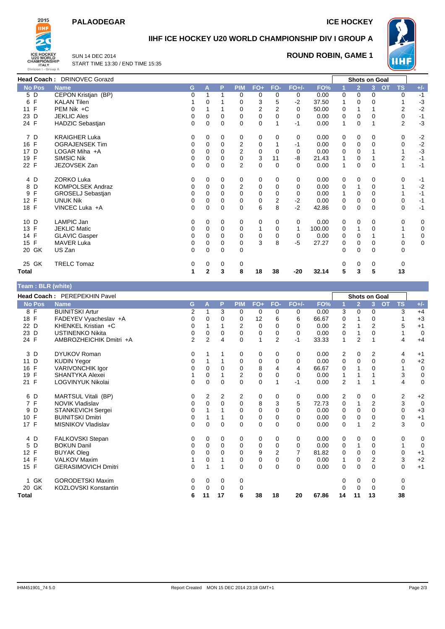### **PALAODEGAR ICE HOCKEY**



## **IIHF ICE HOCKEY U20 WORLD CHAMPIONSHIP DIV I GROUP A**

SUN 14 DEC 2014 START TIME 13:30 / END TIME 15:35

#### **ROUND ROBIN, GAME 1**



|               | Head Coach: DRINOVEC Gorazd |          |             |          |                |                |          |          |        |   | Shots on Goal  |             |                        |             |
|---------------|-----------------------------|----------|-------------|----------|----------------|----------------|----------|----------|--------|---|----------------|-------------|------------------------|-------------|
| <b>No Pos</b> | <b>Name</b>                 | G.       | A           | P        | <b>PIM</b>     | $FO+$          | FO-      | $FO+/-$  | FO%    |   | $\overline{2}$ | 3           | <b>TS</b><br><b>OT</b> | $+/-$       |
| 5 D           | CEPON Kristjan (BP)         | 0        |             |          | 0              | 0              | $\Omega$ | 0        | 0.00   | 0 | $\Omega$       | 0           | 0                      | $-1$        |
| 6 F           | <b>KALAN Tilen</b>          |          | 0           |          | 0              | 3              | 5        | $-2$     | 37.50  |   | 0              | 0           |                        | $-3$        |
| 11 F          | PEM Nik +C                  | 0        |             |          | $\Omega$       | $\overline{2}$ | 2        | $\Omega$ | 50.00  | 0 |                |             | $\overline{2}$         | $-2$        |
| 23 D          | <b>JEKLIC Ales</b>          | 0        | $\Omega$    | 0        | 0              | 0              | 0        | $\Omega$ | 0.00   | 0 | 0              | 0           | 0                      | $-1$        |
| 24 F          | HADZIC Sebastjan            | 0        | 0           | 0        | $\Omega$       | $\mathbf 0$    |          | $-1$     | 0.00   | 1 | 0              |             | $\overline{2}$         | $-3$        |
| 7 D           | <b>KRAIGHER Luka</b>        | 0        | 0           | 0        | 0              | 0              | 0        | 0        | 0.00   | 0 | 0              | 0           | 0                      | $-2$        |
| 16 F          | <b>OGRAJENSEK Tim</b>       | 0        | $\Omega$    | $\Omega$ | $\overline{2}$ | 0              |          | $-1$     | 0.00   | 0 | 0              | 0           | $\mathbf 0$            | $-2$        |
| 17 D          | LOGAR Miha $+A$             | 0        | $\Omega$    | $\Omega$ | $\overline{2}$ | 0              | $\Omega$ | $\Omega$ | 0.00   | 0 | 0              |             |                        | $-3$        |
| 19 F          | <b>SIMSIC Nik</b>           | 0        | 0           | 0        | 0              | 3              | 11       | -8       | 21.43  |   | 0              |             | $\overline{2}$         | $-1$        |
| 22 F          | JEZOVSEK Zan                | 0        | 0           | $\Omega$ | $\overline{2}$ | $\mathbf 0$    | $\Omega$ | $\Omega$ | 0.00   | 1 | 0              | $\mathbf 0$ |                        | $-1$        |
| 4 D           | <b>ZORKO Luka</b>           | 0        | $\Omega$    | 0        | 0              | 0              | 0        | 0        | 0.00   | 0 | 0              | 0           | $\Omega$               | $-1$        |
| 8 D           | KOMPOLSEK Andraz            | 0        | $\Omega$    | 0        | $\overline{2}$ | $\mathbf 0$    | $\Omega$ | $\Omega$ | 0.00   | 0 |                | $\Omega$    |                        | $-2$        |
| F<br>9        | <b>GROSELJ Sebastjan</b>    | 0        | $\Omega$    | $\Omega$ | $\Omega$       | 0              | $\Omega$ | 0        | 0.00   |   | 0              | 0           |                        | $-1$        |
| 12 F          | <b>UNUK Nik</b>             | 0        | $\Omega$    | 0        | $\Omega$       | $\mathbf 0$    | 2        | $-2$     | 0.00   | 0 | 0              | 0           | $\mathbf 0$            | $-1$        |
| 18 F          | VINCEC Luka +A              | 0        | $\Omega$    | 0        | $\Omega$       | 6              | 8        | $-2$     | 42.86  | 0 | $\Omega$       | $\Omega$    | $\mathbf 0$            | $-1$        |
| 10 D          | LAMPIC Jan                  | 0        | $\Omega$    | 0        | 0              | 0              | $\Omega$ | 0        | 0.00   | 0 | $\Omega$       | 0           | 0                      | 0           |
| 13 F          | <b>JEKLIC Matic</b>         | 0        | $\Omega$    | $\Omega$ | 0              |                | 0        | 1        | 100.00 | 0 |                | 0           |                        | $\mathbf 0$ |
| 14 F          | <b>GLAVIC Gasper</b>        | 0        | $\Omega$    | 0        | 0              | 0              | 0        | 0        | 0.00   | 0 | 0              |             |                        | 0           |
| 15 F          | <b>MAVER Luka</b>           | 0        | 0           | 0        | 0              | 3              | 8        | -5       | 27.27  | 0 | 0              | 0           | 0                      | 0           |
| 20 GK         | US Zan                      | $\Omega$ | $\Omega$    | $\Omega$ | 0              |                |          |          |        | 0 | $\Omega$       | $\Omega$    | $\Omega$               |             |
| 25 GK         | <b>TRELC Tomaz</b>          | 0        | 0           | 0        | 0              |                |          |          |        | 0 | 0              | 0           | 0                      |             |
| Total         |                             | 1        | $\mathbf 2$ | 3        | 8              | 18             | 38       | -20      | 32.14  | 5 | 3              | 5           | 13                     |             |

# **Team : BLR (white)**

|                      | Head Coach: PEREPEKHIN Pavel |                |          |          |                |             |                |          |       |    |                | <b>Shots on Goal</b> |                        |             |
|----------------------|------------------------------|----------------|----------|----------|----------------|-------------|----------------|----------|-------|----|----------------|----------------------|------------------------|-------------|
| <b>No Pos</b>        | <b>Name</b>                  | G              | A        | P        | <b>PIM</b>     | $FO+$       | FO-            | $FO+/-$  | FO%   |    | $\overline{2}$ | 3                    | <b>OT</b><br><b>TS</b> | $+/-$       |
| 8 F                  | <b>BUINITSKI Artur</b>       | 2              | 1        | 3        | 0              | 0           | 0              | 0        | 0.00  | 3  | 0              | 0                    | 3                      | $+4$        |
| 18 F                 | FADEYEV Vyacheslav +A        | 0              | 0        | 0        | 0              | 12          | 6              | 6        | 66.67 | 0  |                | 0                    |                        | $+3$        |
| 22 D                 | KHENKEL Kristian +C          | 0              |          |          | 2              | 0           | $\Omega$       | $\Omega$ | 0.00  | 2  |                | 2                    | 5                      | $+1$        |
| 23 D                 | <b>USTINENKO Nikita</b>      | 0              | $\Omega$ | 0        | 0              | 0           | 0              | 0        | 0.00  | 0  |                | 0                    |                        | 0           |
| 24 F                 | AMBROZHEICHIK Dmitri +A      | $\overline{2}$ | 2        | 4        | $\Omega$       | 1           | 2              | $-1$     | 33.33 | 1  | 2              |                      | 4                      | $+4$        |
| 3 D                  | <b>DYUKOV Roman</b>          | 0              |          |          | 0              | 0           | 0              | 0        | 0.00  | 2  | 0              | 2                    | 4                      | $+1$        |
| D<br>11              | <b>KUDIN Yegor</b>           | 0              |          |          | 0              | 0           | 0              | 0        | 0.00  | 0  | 0              | 0                    | 0                      | $+2$        |
| F<br>16              | <b>VARIVONCHIK Igor</b>      | 0              | $\Omega$ | $\Omega$ | 0              | 8           | 4              | 4        | 66.67 | 0  |                | $\Omega$             |                        | $\mathbf 0$ |
| F<br>19              | SHANTYKA Alexei              |                | 0        |          | $\overline{2}$ | 0           | 0              | 0        | 0.00  | 1  |                |                      | 3                      | $\mathbf 0$ |
| F<br>21              | LOGVINYUK Nikolai            | 0              | $\Omega$ | 0        | $\Omega$       | $\mathbf 0$ | 1              | $-1$     | 0.00  | 2  |                |                      | 4                      | $\mathbf 0$ |
| 6 D                  | MARTSUL Vitali (BP)          | 0              | 2        | 2        | 2              | 0           | 0              | 0        | 0.00  | 2  | 0              | 0                    | 2                      | $+2$        |
| 7 F                  | <b>NOVIK Vladislav</b>       | 0              | $\Omega$ | 0        | 0              | 8           | 3              | 5        | 72.73 | 0  |                | 2                    | 3                      | $\mathbf 0$ |
| D<br>9               | STANKEVICH Sergei            | 0              |          |          | 0              | 0           | $\Omega$       | $\Omega$ | 0.00  | 0  | 0              | 0                    | 0                      | $+3$        |
| F<br>10 <sup>°</sup> | <b>BUINITSKI Dmitri</b>      | 0              |          |          | 0              | 0           | 0              | 0        | 0.00  | 0  | $\mathbf 0$    | 0                    | 0                      | $+1$        |
| 17 F                 | MISNIKOV Vladislav           | 0              | $\Omega$ | $\Omega$ | $\Omega$       | $\mathbf 0$ | $\Omega$       | $\Omega$ | 0.00  | 0  |                | $\overline{2}$       | 3                      | $\mathbf 0$ |
| 4 D                  | FALKOVSKI Stepan             | 0              | 0        | 0        | 0              | 0           | 0              | 0        | 0.00  | 0  | 0              | 0                    | 0                      | 0           |
| D<br>5               | <b>BOKUN Danil</b>           | 0              | $\Omega$ | 0        | 0              | 0           | $\mathbf 0$    | $\Omega$ | 0.00  | 0  |                | 0                    |                        | $\mathbf 0$ |
| F<br>12 <sup>2</sup> | <b>BUYAK Oleg</b>            | 0              | $\Omega$ | 0        | 0              | 9           | $\overline{2}$ | 7        | 81.82 | 0  | 0              | 0                    | 0                      | $+1$        |
| F<br>14              | <b>VALKOV Maxim</b>          |                | $\Omega$ |          | 0              | 0           | 0              | 0        | 0.00  | 1  | 0              | 2                    | 3                      | $+2$        |
| 15 F                 | <b>GERASIMOVICH Dmitri</b>   | 0              | 1        |          | $\Omega$       | 0           | 0              | $\Omega$ | 0.00  | 0  | 0              | 0                    | 0                      | $+1$        |
| GK<br>1              | <b>GORODETSKI Maxim</b>      | 0              | 0        | 0        | 0              |             |                |          |       | 0  | 0              | 0                    | 0                      |             |
| 20 GK                | KOZLOVSKI Konstantin         | 0              | $\Omega$ | 0        | 0              |             |                |          |       | 0  | 0              | 0                    | 0                      |             |
| Total                |                              | 6              | 11       | 17       | 6              | 38          | 18             | 20       | 67.86 | 14 | 11             | 13                   | 38                     |             |